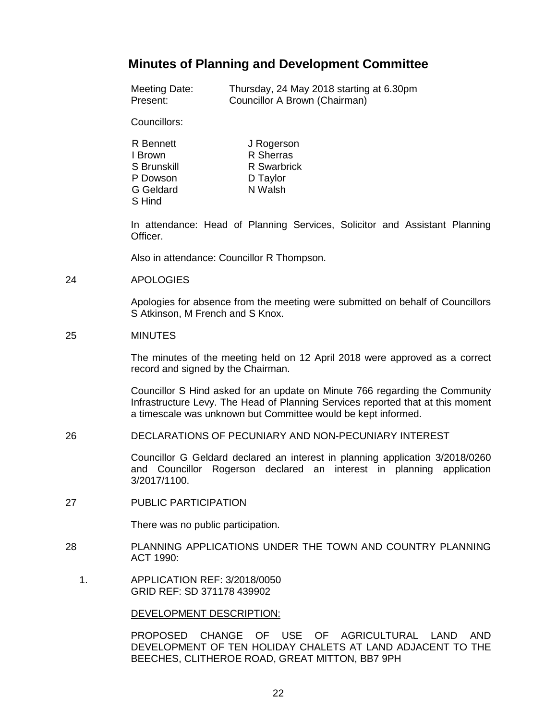# **Minutes of Planning and Development Committee**

| Meeting Date: | Thursday, 24 May 2018 starting at 6.30pm |
|---------------|------------------------------------------|
| Present:      | Councillor A Brown (Chairman)            |

Councillors:

| R Bennett        | J Rogerson  |
|------------------|-------------|
| I Brown          | R Sherras   |
| S Brunskill      | R Swarbrick |
| P Dowson         | D Taylor    |
| <b>G</b> Geldard | N Walsh     |
| S Hind           |             |

In attendance: Head of Planning Services, Solicitor and Assistant Planning Officer.

Also in attendance: Councillor R Thompson.

#### 24 APOLOGIES

Apologies for absence from the meeting were submitted on behalf of Councillors S Atkinson, M French and S Knox.

## 25 MINUTES

The minutes of the meeting held on 12 April 2018 were approved as a correct record and signed by the Chairman.

Councillor S Hind asked for an update on Minute 766 regarding the Community Infrastructure Levy. The Head of Planning Services reported that at this moment a timescale was unknown but Committee would be kept informed.

26 DECLARATIONS OF PECUNIARY AND NON-PECUNIARY INTEREST

Councillor G Geldard declared an interest in planning application 3/2018/0260 and Councillor Rogerson declared an interest in planning application 3/2017/1100.

27 PUBLIC PARTICIPATION

There was no public participation.

- 28 PLANNING APPLICATIONS UNDER THE TOWN AND COUNTRY PLANNING ACT 1990:
	- 1. APPLICATION REF: 3/2018/0050 GRID REF: SD 371178 439902

#### DEVELOPMENT DESCRIPTION:

PROPOSED CHANGE OF USE OF AGRICULTURAL LAND AND DEVELOPMENT OF TEN HOLIDAY CHALETS AT LAND ADJACENT TO THE BEECHES, CLITHEROE ROAD, GREAT MITTON, BB7 9PH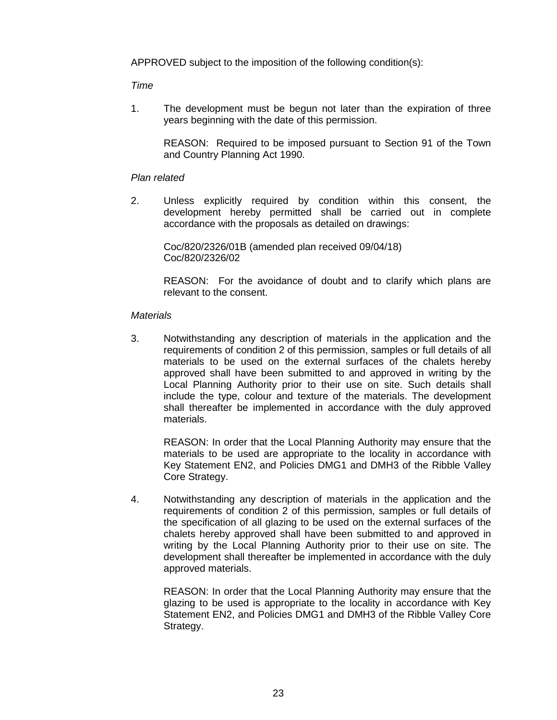APPROVED subject to the imposition of the following condition(s):

## *Time*

1. The development must be begun not later than the expiration of three years beginning with the date of this permission.

REASON: Required to be imposed pursuant to Section 91 of the Town and Country Planning Act 1990.

## *Plan related*

2. Unless explicitly required by condition within this consent, the development hereby permitted shall be carried out in complete accordance with the proposals as detailed on drawings:

Coc/820/2326/01B (amended plan received 09/04/18) Coc/820/2326/02

REASON: For the avoidance of doubt and to clarify which plans are relevant to the consent.

## *Materials*

3. Notwithstanding any description of materials in the application and the requirements of condition 2 of this permission, samples or full details of all materials to be used on the external surfaces of the chalets hereby approved shall have been submitted to and approved in writing by the Local Planning Authority prior to their use on site. Such details shall include the type, colour and texture of the materials. The development shall thereafter be implemented in accordance with the duly approved materials.

REASON: In order that the Local Planning Authority may ensure that the materials to be used are appropriate to the locality in accordance with Key Statement EN2, and Policies DMG1 and DMH3 of the Ribble Valley Core Strategy.

4. Notwithstanding any description of materials in the application and the requirements of condition 2 of this permission, samples or full details of the specification of all glazing to be used on the external surfaces of the chalets hereby approved shall have been submitted to and approved in writing by the Local Planning Authority prior to their use on site. The development shall thereafter be implemented in accordance with the duly approved materials.

REASON: In order that the Local Planning Authority may ensure that the glazing to be used is appropriate to the locality in accordance with Key Statement EN2, and Policies DMG1 and DMH3 of the Ribble Valley Core Strategy.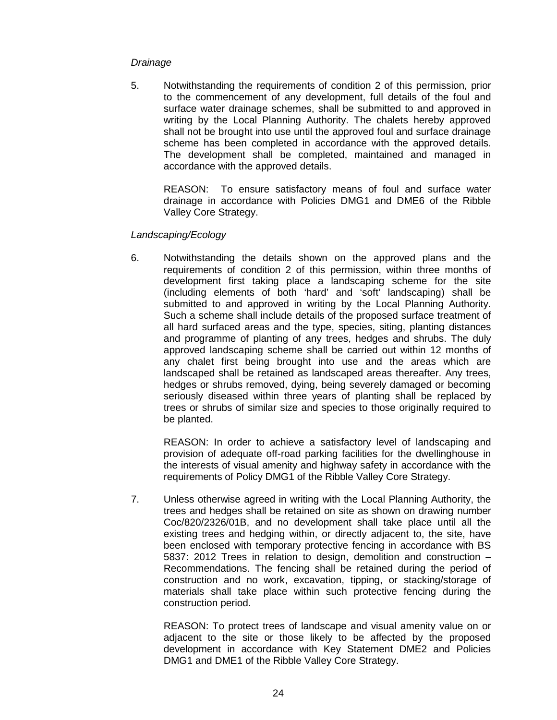## *Drainage*

5. Notwithstanding the requirements of condition 2 of this permission, prior to the commencement of any development, full details of the foul and surface water drainage schemes, shall be submitted to and approved in writing by the Local Planning Authority. The chalets hereby approved shall not be brought into use until the approved foul and surface drainage scheme has been completed in accordance with the approved details. The development shall be completed, maintained and managed in accordance with the approved details.

REASON: To ensure satisfactory means of foul and surface water drainage in accordance with Policies DMG1 and DME6 of the Ribble Valley Core Strategy.

# *Landscaping/Ecology*

6. Notwithstanding the details shown on the approved plans and the requirements of condition 2 of this permission, within three months of development first taking place a landscaping scheme for the site (including elements of both 'hard' and 'soft' landscaping) shall be submitted to and approved in writing by the Local Planning Authority. Such a scheme shall include details of the proposed surface treatment of all hard surfaced areas and the type, species, siting, planting distances and programme of planting of any trees, hedges and shrubs. The duly approved landscaping scheme shall be carried out within 12 months of any chalet first being brought into use and the areas which are landscaped shall be retained as landscaped areas thereafter. Any trees, hedges or shrubs removed, dying, being severely damaged or becoming seriously diseased within three years of planting shall be replaced by trees or shrubs of similar size and species to those originally required to be planted.

REASON: In order to achieve a satisfactory level of landscaping and provision of adequate off-road parking facilities for the dwellinghouse in the interests of visual amenity and highway safety in accordance with the requirements of Policy DMG1 of the Ribble Valley Core Strategy.

7. Unless otherwise agreed in writing with the Local Planning Authority, the trees and hedges shall be retained on site as shown on drawing number Coc/820/2326/01B, and no development shall take place until all the existing trees and hedging within, or directly adjacent to, the site, have been enclosed with temporary protective fencing in accordance with BS 5837: 2012 Trees in relation to design, demolition and construction – Recommendations. The fencing shall be retained during the period of construction and no work, excavation, tipping, or stacking/storage of materials shall take place within such protective fencing during the construction period.

REASON: To protect trees of landscape and visual amenity value on or adjacent to the site or those likely to be affected by the proposed development in accordance with Key Statement DME2 and Policies DMG1 and DME1 of the Ribble Valley Core Strategy.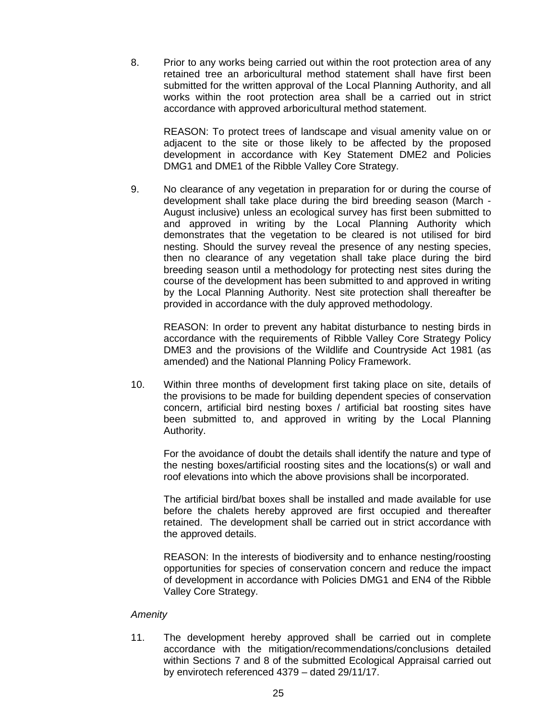8. Prior to any works being carried out within the root protection area of any retained tree an arboricultural method statement shall have first been submitted for the written approval of the Local Planning Authority, and all works within the root protection area shall be a carried out in strict accordance with approved arboricultural method statement.

REASON: To protect trees of landscape and visual amenity value on or adjacent to the site or those likely to be affected by the proposed development in accordance with Key Statement DME2 and Policies DMG1 and DME1 of the Ribble Valley Core Strategy.

9. No clearance of any vegetation in preparation for or during the course of development shall take place during the bird breeding season (March - August inclusive) unless an ecological survey has first been submitted to and approved in writing by the Local Planning Authority which demonstrates that the vegetation to be cleared is not utilised for bird nesting. Should the survey reveal the presence of any nesting species, then no clearance of any vegetation shall take place during the bird breeding season until a methodology for protecting nest sites during the course of the development has been submitted to and approved in writing by the Local Planning Authority. Nest site protection shall thereafter be provided in accordance with the duly approved methodology.

REASON: In order to prevent any habitat disturbance to nesting birds in accordance with the requirements of Ribble Valley Core Strategy Policy DME3 and the provisions of the Wildlife and Countryside Act 1981 (as amended) and the National Planning Policy Framework.

10. Within three months of development first taking place on site, details of the provisions to be made for building dependent species of conservation concern, artificial bird nesting boxes / artificial bat roosting sites have been submitted to, and approved in writing by the Local Planning Authority.

For the avoidance of doubt the details shall identify the nature and type of the nesting boxes/artificial roosting sites and the locations(s) or wall and roof elevations into which the above provisions shall be incorporated.

The artificial bird/bat boxes shall be installed and made available for use before the chalets hereby approved are first occupied and thereafter retained. The development shall be carried out in strict accordance with the approved details.

REASON: In the interests of biodiversity and to enhance nesting/roosting opportunities for species of conservation concern and reduce the impact of development in accordance with Policies DMG1 and EN4 of the Ribble Valley Core Strategy.

## *Amenity*

11. The development hereby approved shall be carried out in complete accordance with the mitigation/recommendations/conclusions detailed within Sections 7 and 8 of the submitted Ecological Appraisal carried out by envirotech referenced 4379 – dated 29/11/17.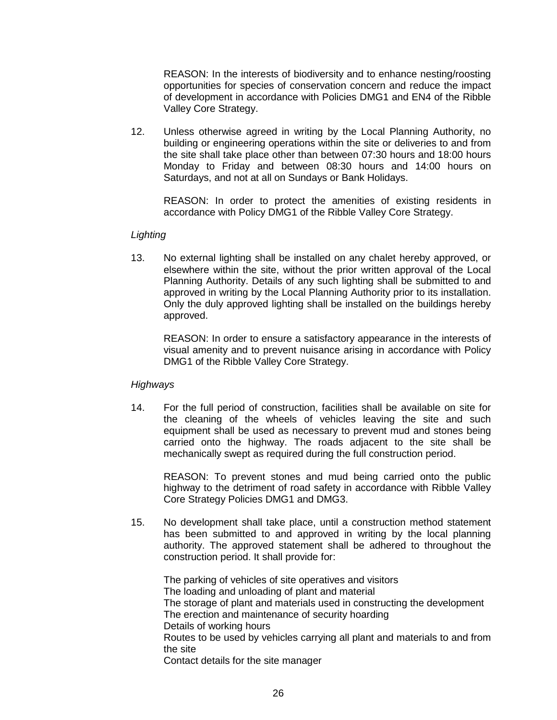REASON: In the interests of biodiversity and to enhance nesting/roosting opportunities for species of conservation concern and reduce the impact of development in accordance with Policies DMG1 and EN4 of the Ribble Valley Core Strategy.

12. Unless otherwise agreed in writing by the Local Planning Authority, no building or engineering operations within the site or deliveries to and from the site shall take place other than between 07:30 hours and 18:00 hours Monday to Friday and between 08:30 hours and 14:00 hours on Saturdays, and not at all on Sundays or Bank Holidays.

REASON: In order to protect the amenities of existing residents in accordance with Policy DMG1 of the Ribble Valley Core Strategy.

## *Lighting*

13. No external lighting shall be installed on any chalet hereby approved, or elsewhere within the site, without the prior written approval of the Local Planning Authority. Details of any such lighting shall be submitted to and approved in writing by the Local Planning Authority prior to its installation. Only the duly approved lighting shall be installed on the buildings hereby approved.

REASON: In order to ensure a satisfactory appearance in the interests of visual amenity and to prevent nuisance arising in accordance with Policy DMG1 of the Ribble Valley Core Strategy.

## *Highways*

14. For the full period of construction, facilities shall be available on site for the cleaning of the wheels of vehicles leaving the site and such equipment shall be used as necessary to prevent mud and stones being carried onto the highway. The roads adjacent to the site shall be mechanically swept as required during the full construction period.

REASON: To prevent stones and mud being carried onto the public highway to the detriment of road safety in accordance with Ribble Valley Core Strategy Policies DMG1 and DMG3.

15. No development shall take place, until a construction method statement has been submitted to and approved in writing by the local planning authority. The approved statement shall be adhered to throughout the construction period. It shall provide for:

The parking of vehicles of site operatives and visitors The loading and unloading of plant and material The storage of plant and materials used in constructing the development The erection and maintenance of security hoarding Details of working hours Routes to be used by vehicles carrying all plant and materials to and from the site Contact details for the site manager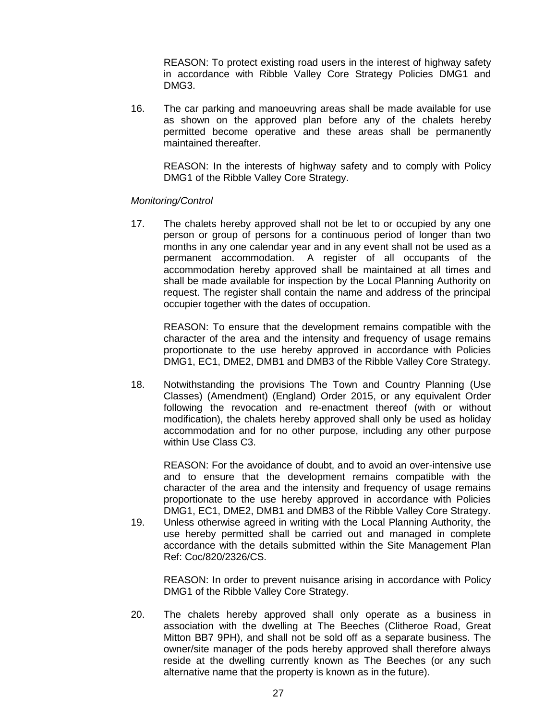REASON: To protect existing road users in the interest of highway safety in accordance with Ribble Valley Core Strategy Policies DMG1 and DMG3.

16. The car parking and manoeuvring areas shall be made available for use as shown on the approved plan before any of the chalets hereby permitted become operative and these areas shall be permanently maintained thereafter.

REASON: In the interests of highway safety and to comply with Policy DMG1 of the Ribble Valley Core Strategy.

## *Monitoring/Control*

17. The chalets hereby approved shall not be let to or occupied by any one person or group of persons for a continuous period of longer than two months in any one calendar year and in any event shall not be used as a permanent accommodation. A register of all occupants of the accommodation hereby approved shall be maintained at all times and shall be made available for inspection by the Local Planning Authority on request. The register shall contain the name and address of the principal occupier together with the dates of occupation.

REASON: To ensure that the development remains compatible with the character of the area and the intensity and frequency of usage remains proportionate to the use hereby approved in accordance with Policies DMG1, EC1, DME2, DMB1 and DMB3 of the Ribble Valley Core Strategy.

18. Notwithstanding the provisions The Town and Country Planning (Use Classes) (Amendment) (England) Order 2015, or any equivalent Order following the revocation and re-enactment thereof (with or without modification), the chalets hereby approved shall only be used as holiday accommodation and for no other purpose, including any other purpose within Use Class C3.

REASON: For the avoidance of doubt, and to avoid an over-intensive use and to ensure that the development remains compatible with the character of the area and the intensity and frequency of usage remains proportionate to the use hereby approved in accordance with Policies DMG1, EC1, DME2, DMB1 and DMB3 of the Ribble Valley Core Strategy.

19. Unless otherwise agreed in writing with the Local Planning Authority, the use hereby permitted shall be carried out and managed in complete accordance with the details submitted within the Site Management Plan Ref: Coc/820/2326/CS.

REASON: In order to prevent nuisance arising in accordance with Policy DMG1 of the Ribble Valley Core Strategy.

20. The chalets hereby approved shall only operate as a business in association with the dwelling at The Beeches (Clitheroe Road, Great Mitton BB7 9PH), and shall not be sold off as a separate business. The owner/site manager of the pods hereby approved shall therefore always reside at the dwelling currently known as The Beeches (or any such alternative name that the property is known as in the future).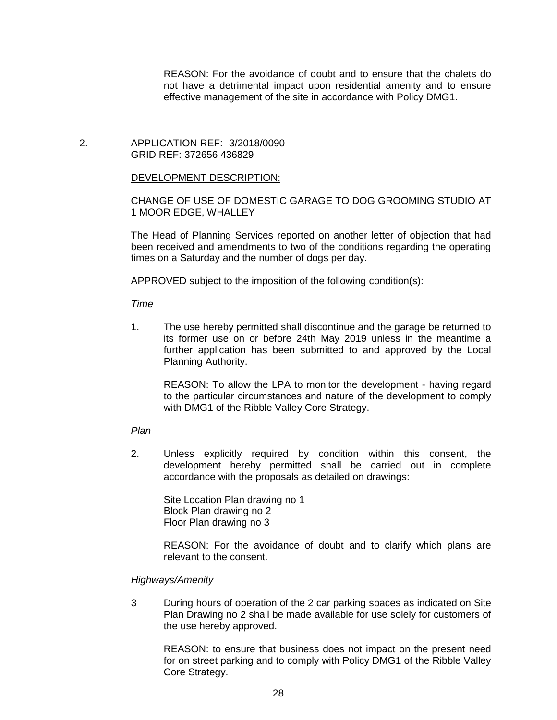REASON: For the avoidance of doubt and to ensure that the chalets do not have a detrimental impact upon residential amenity and to ensure effective management of the site in accordance with Policy DMG1.

## 2. APPLICATION REF: 3/2018/0090 GRID REF: 372656 436829

## DEVELOPMENT DESCRIPTION:

# CHANGE OF USE OF DOMESTIC GARAGE TO DOG GROOMING STUDIO AT 1 MOOR EDGE, WHALLEY

The Head of Planning Services reported on another letter of objection that had been received and amendments to two of the conditions regarding the operating times on a Saturday and the number of dogs per day.

APPROVED subject to the imposition of the following condition(s):

*Time*

1. The use hereby permitted shall discontinue and the garage be returned to its former use on or before 24th May 2019 unless in the meantime a further application has been submitted to and approved by the Local Planning Authority.

REASON: To allow the LPA to monitor the development - having regard to the particular circumstances and nature of the development to comply with DMG1 of the Ribble Valley Core Strategy.

## *Plan*

2. Unless explicitly required by condition within this consent, the development hereby permitted shall be carried out in complete accordance with the proposals as detailed on drawings:

Site Location Plan drawing no 1 Block Plan drawing no 2 Floor Plan drawing no 3

REASON: For the avoidance of doubt and to clarify which plans are relevant to the consent.

## *Highways/Amenity*

3 During hours of operation of the 2 car parking spaces as indicated on Site Plan Drawing no 2 shall be made available for use solely for customers of the use hereby approved.

REASON: to ensure that business does not impact on the present need for on street parking and to comply with Policy DMG1 of the Ribble Valley Core Strategy.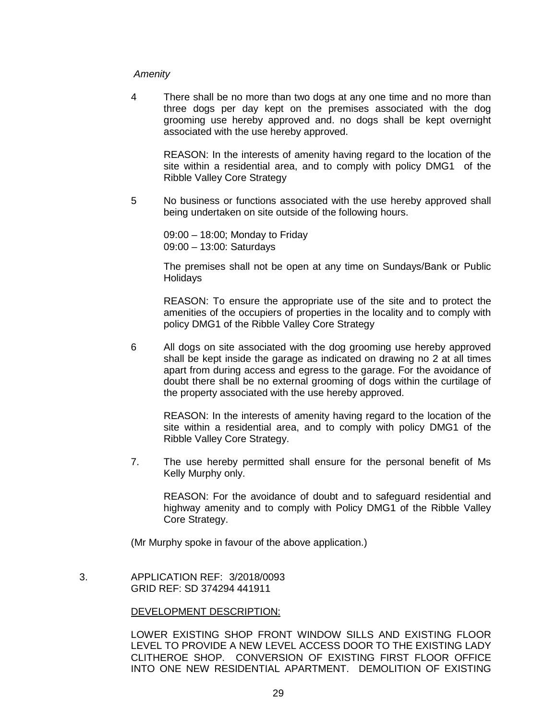## *Amenity*

4 There shall be no more than two dogs at any one time and no more than three dogs per day kept on the premises associated with the dog grooming use hereby approved and. no dogs shall be kept overnight associated with the use hereby approved.

REASON: In the interests of amenity having regard to the location of the site within a residential area, and to comply with policy DMG1 of the Ribble Valley Core Strategy

5 No business or functions associated with the use hereby approved shall being undertaken on site outside of the following hours.

09:00 – 18:00; Monday to Friday 09:00 – 13:00: Saturdays

The premises shall not be open at any time on Sundays/Bank or Public **Holidavs** 

REASON: To ensure the appropriate use of the site and to protect the amenities of the occupiers of properties in the locality and to comply with policy DMG1 of the Ribble Valley Core Strategy

6 All dogs on site associated with the dog grooming use hereby approved shall be kept inside the garage as indicated on drawing no 2 at all times apart from during access and egress to the garage. For the avoidance of doubt there shall be no external grooming of dogs within the curtilage of the property associated with the use hereby approved.

REASON: In the interests of amenity having regard to the location of the site within a residential area, and to comply with policy DMG1 of the Ribble Valley Core Strategy.

7. The use hereby permitted shall ensure for the personal benefit of Ms Kelly Murphy only.

REASON: For the avoidance of doubt and to safeguard residential and highway amenity and to comply with Policy DMG1 of the Ribble Valley Core Strategy.

(Mr Murphy spoke in favour of the above application.)

 3. APPLICATION REF: 3/2018/0093 GRID REF: SD 374294 441911

## DEVELOPMENT DESCRIPTION:

LOWER EXISTING SHOP FRONT WINDOW SILLS AND EXISTING FLOOR LEVEL TO PROVIDE A NEW LEVEL ACCESS DOOR TO THE EXISTING LADY CLITHEROE SHOP. CONVERSION OF EXISTING FIRST FLOOR OFFICE INTO ONE NEW RESIDENTIAL APARTMENT. DEMOLITION OF EXISTING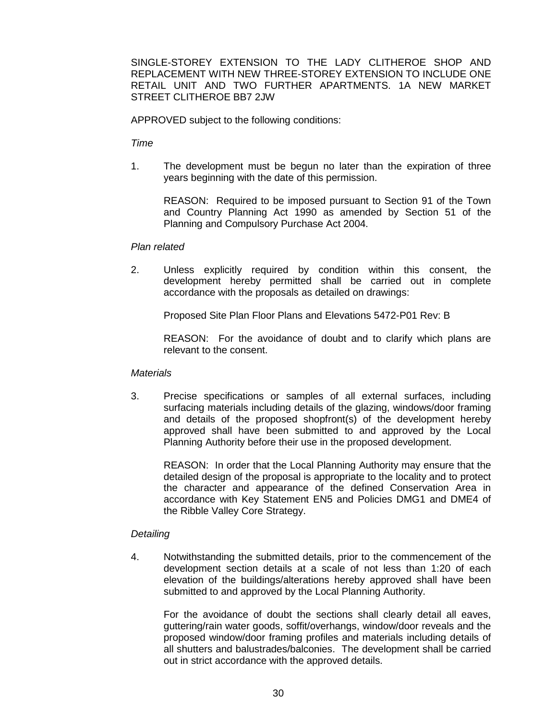SINGLE-STOREY EXTENSION TO THE LADY CLITHEROE SHOP AND REPLACEMENT WITH NEW THREE-STOREY EXTENSION TO INCLUDE ONE RETAIL UNIT AND TWO FURTHER APARTMENTS. 1A NEW MARKET STREET CLITHEROE BB7 2JW

APPROVED subject to the following conditions:

*Time*

1. The development must be begun no later than the expiration of three years beginning with the date of this permission.

REASON: Required to be imposed pursuant to Section 91 of the Town and Country Planning Act 1990 as amended by Section 51 of the Planning and Compulsory Purchase Act 2004.

## *Plan related*

2. Unless explicitly required by condition within this consent, the development hereby permitted shall be carried out in complete accordance with the proposals as detailed on drawings:

Proposed Site Plan Floor Plans and Elevations 5472-P01 Rev: B

REASON: For the avoidance of doubt and to clarify which plans are relevant to the consent.

### *Materials*

3. Precise specifications or samples of all external surfaces, including surfacing materials including details of the glazing, windows/door framing and details of the proposed shopfront(s) of the development hereby approved shall have been submitted to and approved by the Local Planning Authority before their use in the proposed development.

REASON: In order that the Local Planning Authority may ensure that the detailed design of the proposal is appropriate to the locality and to protect the character and appearance of the defined Conservation Area in accordance with Key Statement EN5 and Policies DMG1 and DME4 of the Ribble Valley Core Strategy.

## *Detailing*

4. Notwithstanding the submitted details, prior to the commencement of the development section details at a scale of not less than 1:20 of each elevation of the buildings/alterations hereby approved shall have been submitted to and approved by the Local Planning Authority.

For the avoidance of doubt the sections shall clearly detail all eaves, guttering/rain water goods, soffit/overhangs, window/door reveals and the proposed window/door framing profiles and materials including details of all shutters and balustrades/balconies. The development shall be carried out in strict accordance with the approved details.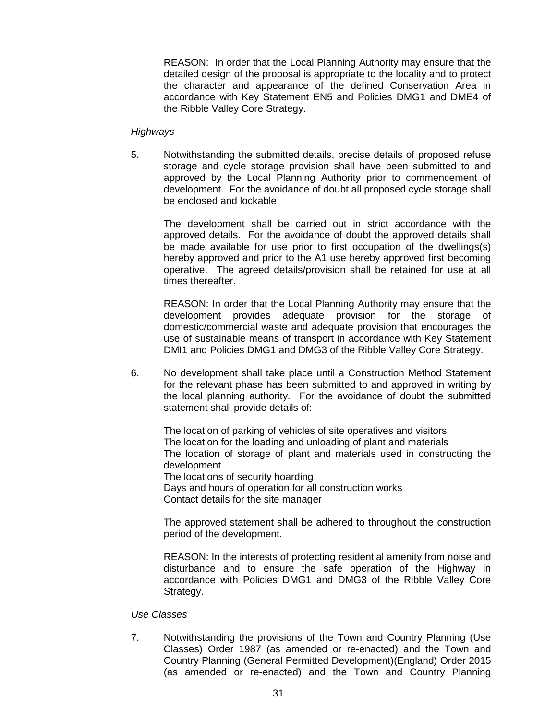REASON: In order that the Local Planning Authority may ensure that the detailed design of the proposal is appropriate to the locality and to protect the character and appearance of the defined Conservation Area in accordance with Key Statement EN5 and Policies DMG1 and DME4 of the Ribble Valley Core Strategy.

## *Highways*

5. Notwithstanding the submitted details, precise details of proposed refuse storage and cycle storage provision shall have been submitted to and approved by the Local Planning Authority prior to commencement of development. For the avoidance of doubt all proposed cycle storage shall be enclosed and lockable.

The development shall be carried out in strict accordance with the approved details. For the avoidance of doubt the approved details shall be made available for use prior to first occupation of the dwellings(s) hereby approved and prior to the A1 use hereby approved first becoming operative. The agreed details/provision shall be retained for use at all times thereafter.

REASON: In order that the Local Planning Authority may ensure that the development provides adequate provision for the storage of domestic/commercial waste and adequate provision that encourages the use of sustainable means of transport in accordance with Key Statement DMI1 and Policies DMG1 and DMG3 of the Ribble Valley Core Strategy.

6. No development shall take place until a Construction Method Statement for the relevant phase has been submitted to and approved in writing by the local planning authority. For the avoidance of doubt the submitted statement shall provide details of:

The location of parking of vehicles of site operatives and visitors The location for the loading and unloading of plant and materials The location of storage of plant and materials used in constructing the development

The locations of security hoarding Days and hours of operation for all construction works Contact details for the site manager

The approved statement shall be adhered to throughout the construction period of the development.

REASON: In the interests of protecting residential amenity from noise and disturbance and to ensure the safe operation of the Highway in accordance with Policies DMG1 and DMG3 of the Ribble Valley Core Strategy.

## *Use Classes*

7. Notwithstanding the provisions of the Town and Country Planning (Use Classes) Order 1987 (as amended or re-enacted) and the Town and Country Planning (General Permitted Development)(England) Order 2015 (as amended or re-enacted) and the Town and Country Planning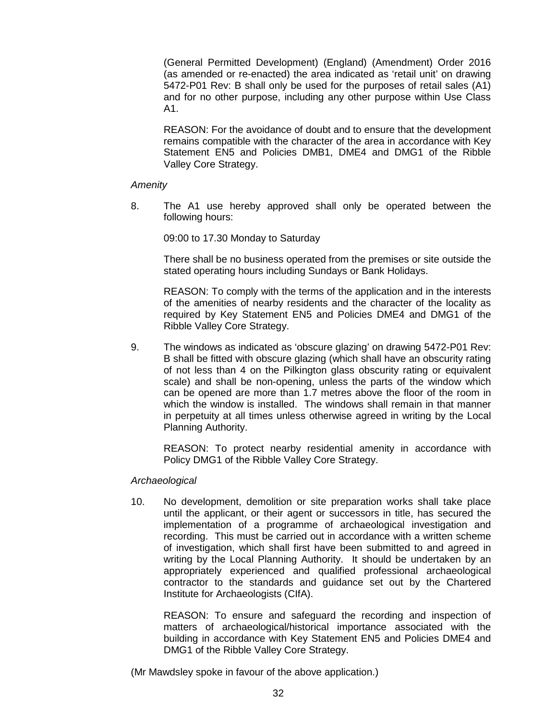(General Permitted Development) (England) (Amendment) Order 2016 (as amended or re-enacted) the area indicated as 'retail unit' on drawing 5472-P01 Rev: B shall only be used for the purposes of retail sales (A1) and for no other purpose, including any other purpose within Use Class  $A1$ .

REASON: For the avoidance of doubt and to ensure that the development remains compatible with the character of the area in accordance with Key Statement EN5 and Policies DMB1, DME4 and DMG1 of the Ribble Valley Core Strategy.

## *Amenity*

8. The A1 use hereby approved shall only be operated between the following hours:

09:00 to 17.30 Monday to Saturday

There shall be no business operated from the premises or site outside the stated operating hours including Sundays or Bank Holidays.

REASON: To comply with the terms of the application and in the interests of the amenities of nearby residents and the character of the locality as required by Key Statement EN5 and Policies DME4 and DMG1 of the Ribble Valley Core Strategy.

9. The windows as indicated as 'obscure glazing' on drawing 5472-P01 Rev: B shall be fitted with obscure glazing (which shall have an obscurity rating of not less than 4 on the Pilkington glass obscurity rating or equivalent scale) and shall be non-opening, unless the parts of the window which can be opened are more than 1.7 metres above the floor of the room in which the window is installed. The windows shall remain in that manner in perpetuity at all times unless otherwise agreed in writing by the Local Planning Authority.

REASON: To protect nearby residential amenity in accordance with Policy DMG1 of the Ribble Valley Core Strategy.

## *Archaeological*

10. No development, demolition or site preparation works shall take place until the applicant, or their agent or successors in title, has secured the implementation of a programme of archaeological investigation and recording. This must be carried out in accordance with a written scheme of investigation, which shall first have been submitted to and agreed in writing by the Local Planning Authority. It should be undertaken by an appropriately experienced and qualified professional archaeological contractor to the standards and guidance set out by the Chartered Institute for Archaeologists (CIfA).

REASON: To ensure and safeguard the recording and inspection of matters of archaeological/historical importance associated with the building in accordance with Key Statement EN5 and Policies DME4 and DMG1 of the Ribble Valley Core Strategy.

(Mr Mawdsley spoke in favour of the above application.)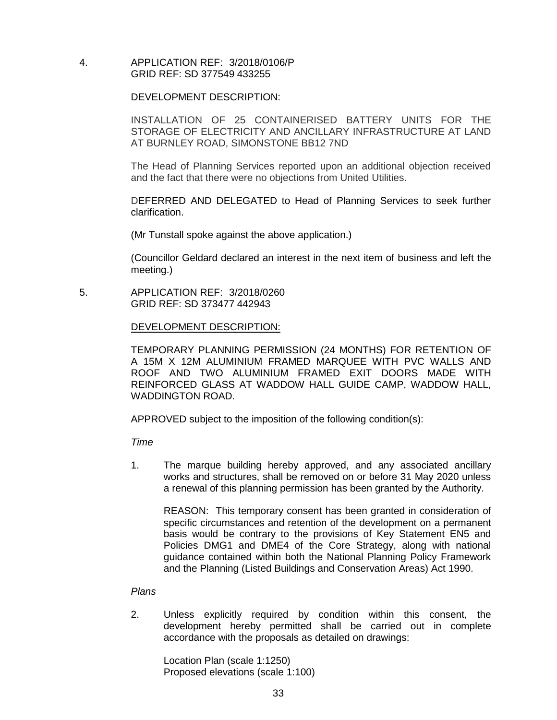4. APPLICATION REF: 3/2018/0106/P GRID REF: SD 377549 433255

# DEVELOPMENT DESCRIPTION:

INSTALLATION OF 25 CONTAINERISED BATTERY UNITS FOR THE STORAGE OF ELECTRICITY AND ANCILLARY INFRASTRUCTURE AT LAND AT BURNLEY ROAD, SIMONSTONE BB12 7ND

The Head of Planning Services reported upon an additional objection received and the fact that there were no objections from United Utilities.

DEFERRED AND DELEGATED to Head of Planning Services to seek further clarification.

(Mr Tunstall spoke against the above application.)

(Councillor Geldard declared an interest in the next item of business and left the meeting.)

 5. APPLICATION REF: 3/2018/0260 GRID REF: SD 373477 442943

DEVELOPMENT DESCRIPTION:

TEMPORARY PLANNING PERMISSION (24 MONTHS) FOR RETENTION OF A 15M X 12M ALUMINIUM FRAMED MARQUEE WITH PVC WALLS AND ROOF AND TWO ALUMINIUM FRAMED EXIT DOORS MADE WITH REINFORCED GLASS AT WADDOW HALL GUIDE CAMP, WADDOW HALL, WADDINGTON ROAD.

APPROVED subject to the imposition of the following condition(s):

*Time*

1. The marque building hereby approved, and any associated ancillary works and structures, shall be removed on or before 31 May 2020 unless a renewal of this planning permission has been granted by the Authority.

REASON: This temporary consent has been granted in consideration of specific circumstances and retention of the development on a permanent basis would be contrary to the provisions of Key Statement EN5 and Policies DMG1 and DME4 of the Core Strategy, along with national guidance contained within both the National Planning Policy Framework and the Planning (Listed Buildings and Conservation Areas) Act 1990.

*Plans*

2. Unless explicitly required by condition within this consent, the development hereby permitted shall be carried out in complete accordance with the proposals as detailed on drawings:

Location Plan (scale 1:1250) Proposed elevations (scale 1:100)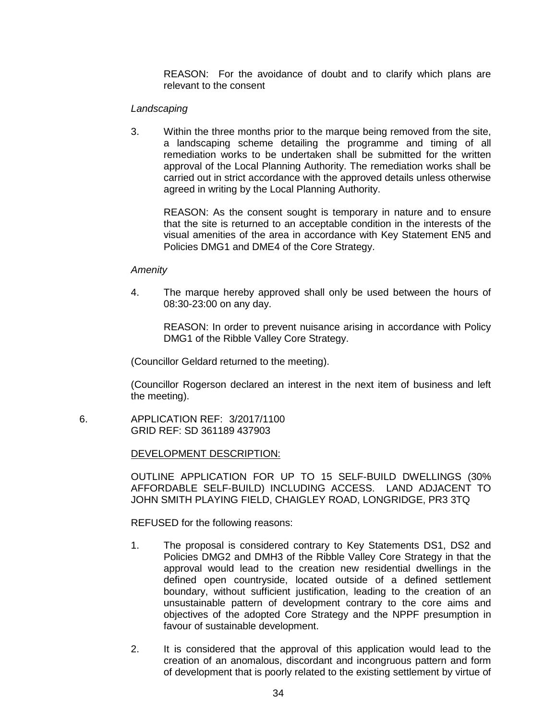REASON: For the avoidance of doubt and to clarify which plans are relevant to the consent

#### *Landscaping*

3. Within the three months prior to the marque being removed from the site, a landscaping scheme detailing the programme and timing of all remediation works to be undertaken shall be submitted for the written approval of the Local Planning Authority. The remediation works shall be carried out in strict accordance with the approved details unless otherwise agreed in writing by the Local Planning Authority.

REASON: As the consent sought is temporary in nature and to ensure that the site is returned to an acceptable condition in the interests of the visual amenities of the area in accordance with Key Statement EN5 and Policies DMG1 and DME4 of the Core Strategy.

#### *Amenity*

4. The marque hereby approved shall only be used between the hours of 08:30-23:00 on any day.

REASON: In order to prevent nuisance arising in accordance with Policy DMG1 of the Ribble Valley Core Strategy.

(Councillor Geldard returned to the meeting).

(Councillor Rogerson declared an interest in the next item of business and left the meeting).

 6. APPLICATION REF: 3/2017/1100 GRID REF: SD 361189 437903

#### DEVELOPMENT DESCRIPTION:

OUTLINE APPLICATION FOR UP TO 15 SELF-BUILD DWELLINGS (30% AFFORDABLE SELF-BUILD) INCLUDING ACCESS. LAND ADJACENT TO JOHN SMITH PLAYING FIELD, CHAIGLEY ROAD, LONGRIDGE, PR3 3TQ

REFUSED for the following reasons:

- 1. The proposal is considered contrary to Key Statements DS1, DS2 and Policies DMG2 and DMH3 of the Ribble Valley Core Strategy in that the approval would lead to the creation new residential dwellings in the defined open countryside, located outside of a defined settlement boundary, without sufficient justification, leading to the creation of an unsustainable pattern of development contrary to the core aims and objectives of the adopted Core Strategy and the NPPF presumption in favour of sustainable development.
- 2. It is considered that the approval of this application would lead to the creation of an anomalous, discordant and incongruous pattern and form of development that is poorly related to the existing settlement by virtue of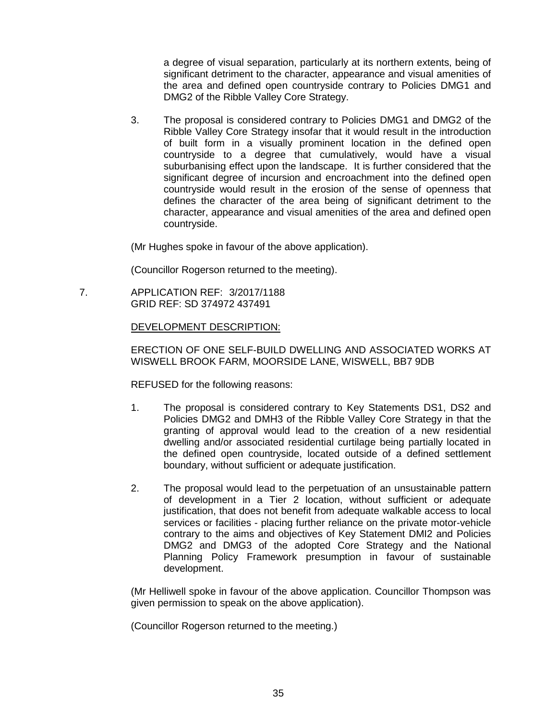a degree of visual separation, particularly at its northern extents, being of significant detriment to the character, appearance and visual amenities of the area and defined open countryside contrary to Policies DMG1 and DMG2 of the Ribble Valley Core Strategy.

3. The proposal is considered contrary to Policies DMG1 and DMG2 of the Ribble Valley Core Strategy insofar that it would result in the introduction of built form in a visually prominent location in the defined open countryside to a degree that cumulatively, would have a visual suburbanising effect upon the landscape. It is further considered that the significant degree of incursion and encroachment into the defined open countryside would result in the erosion of the sense of openness that defines the character of the area being of significant detriment to the character, appearance and visual amenities of the area and defined open countryside.

(Mr Hughes spoke in favour of the above application).

(Councillor Rogerson returned to the meeting).

 7. APPLICATION REF: 3/2017/1188 GRID REF: SD 374972 437491

DEVELOPMENT DESCRIPTION:

ERECTION OF ONE SELF-BUILD DWELLING AND ASSOCIATED WORKS AT WISWELL BROOK FARM, MOORSIDE LANE, WISWELL, BB7 9DB

REFUSED for the following reasons:

- 1. The proposal is considered contrary to Key Statements DS1, DS2 and Policies DMG2 and DMH3 of the Ribble Valley Core Strategy in that the granting of approval would lead to the creation of a new residential dwelling and/or associated residential curtilage being partially located in the defined open countryside, located outside of a defined settlement boundary, without sufficient or adequate justification.
- 2. The proposal would lead to the perpetuation of an unsustainable pattern of development in a Tier 2 location, without sufficient or adequate justification, that does not benefit from adequate walkable access to local services or facilities - placing further reliance on the private motor-vehicle contrary to the aims and objectives of Key Statement DMI2 and Policies DMG2 and DMG3 of the adopted Core Strategy and the National Planning Policy Framework presumption in favour of sustainable development.

(Mr Helliwell spoke in favour of the above application. Councillor Thompson was given permission to speak on the above application).

(Councillor Rogerson returned to the meeting.)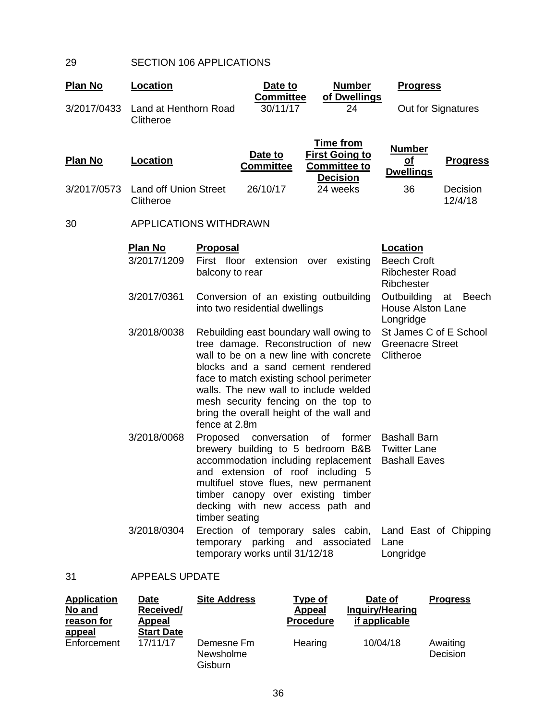# 29 SECTION 106 APPLICATIONS

| <b>Plan No</b> | Location                                  |                                    | Date to<br><b>Committee</b>    | <b>Number</b><br>of Dwellings                                                                                                                                                                                                                                                                                                      | <b>Progress</b>                                                        |                     |
|----------------|-------------------------------------------|------------------------------------|--------------------------------|------------------------------------------------------------------------------------------------------------------------------------------------------------------------------------------------------------------------------------------------------------------------------------------------------------------------------------|------------------------------------------------------------------------|---------------------|
| 3/2017/0433    | Land at Henthorn Road<br>Clitheroe        |                                    | 30/11/17                       | 24                                                                                                                                                                                                                                                                                                                                 | Out for Signatures                                                     |                     |
| <b>Plan No</b> | <b>Location</b>                           |                                    | Date to<br><b>Committee</b>    | <b>Time from</b><br><b>First Going to</b><br><b>Committee to</b><br><b>Decision</b>                                                                                                                                                                                                                                                | <b>Number</b><br><u>of</u><br><b>Dwellings</b>                         | <b>Progress</b>     |
| 3/2017/0573    | <b>Land off Union Street</b><br>Clitheroe |                                    | 26/10/17                       | 24 weeks                                                                                                                                                                                                                                                                                                                           | 36                                                                     | Decision<br>12/4/18 |
| 30             | APPLICATIONS WITHDRAWN                    |                                    |                                |                                                                                                                                                                                                                                                                                                                                    |                                                                        |                     |
|                | <b>Plan No</b><br>3/2017/1209             | <b>Proposal</b><br>balcony to rear | First floor extension over     | existing                                                                                                                                                                                                                                                                                                                           | Location<br><b>Beech Croft</b><br><b>Ribchester Road</b><br>Ribchester |                     |
|                | 3/2017/0361                               |                                    | into two residential dwellings | Conversion of an existing outbuilding                                                                                                                                                                                                                                                                                              | Outbuilding<br><b>House Alston Lane</b><br>Longridge                   | <b>Beech</b><br>at  |
|                | 3/2018/0038                               | fence at 2.8m                      |                                | Rebuilding east boundary wall owing to<br>tree damage. Reconstruction of new<br>wall to be on a new line with concrete<br>blocks and a sand cement rendered<br>face to match existing school perimeter<br>walls. The new wall to include welded<br>mesh security fencing on the top to<br>bring the overall height of the wall and | St James C of E School<br><b>Greenacre Street</b><br>Clitheroe         |                     |
|                | 3/2018/0068                               | Proposed<br>timber seating         | conversation                   | former<br>of<br>brewery building to 5 bedroom B&B<br>accommodation including replacement<br>and extension of roof including 5<br>multifuel stove flues, new permanent<br>timber canopy over existing timber<br>decking with new access path and                                                                                    | <b>Bashall Barn</b><br><b>Twitter Lane</b><br><b>Bashall Eaves</b>     |                     |
|                | 3/2018/0304                               |                                    | temporary works until 31/12/18 | Erection of temporary sales cabin, Land East of Chipping<br>temporary parking and associated                                                                                                                                                                                                                                       | Lane<br>Longridge                                                      |                     |
| 31             | <b>APPEALS UPDATE</b>                     |                                    |                                |                                                                                                                                                                                                                                                                                                                                    |                                                                        |                     |

## 31 APPEALS UPDATE

| <b>Application</b><br>No and | Date<br>Received/ | <b>Site Address</b>                | Type of<br>Appeal | Date of<br>Inquiry/Hearing | <b>Progress</b>      |
|------------------------------|-------------------|------------------------------------|-------------------|----------------------------|----------------------|
| reason for                   | <b>Appeal</b>     |                                    | <b>Procedure</b>  | if applicable              |                      |
| <u>appeal</u>                | <b>Start Date</b> |                                    |                   |                            |                      |
| Enforcement                  | 17/11/17          | Demesne Fm<br>Newsholme<br>Gisburn | Hearing           | 10/04/18                   | Awaiting<br>Decision |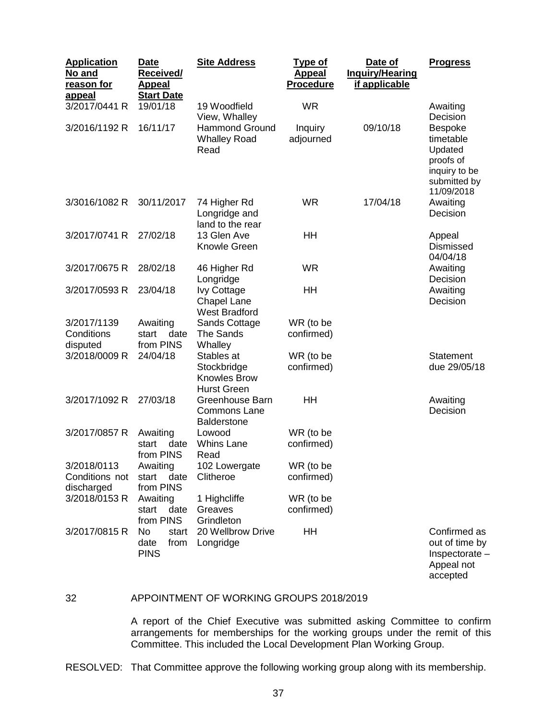| <b>Application</b><br><u>No and</u><br>reason for<br><b>appeal</b> | <b>Date</b><br><b>Received/</b><br><b>Appeal</b><br><b>Start Date</b> | <b>Site Address</b>                                                    | Type of<br><b>Appeal</b><br><b>Procedure</b> | Date of<br><b>Inquiry/Hearing</b><br>if applicable | <b>Progress</b>                                                                                    |
|--------------------------------------------------------------------|-----------------------------------------------------------------------|------------------------------------------------------------------------|----------------------------------------------|----------------------------------------------------|----------------------------------------------------------------------------------------------------|
| 3/2017/0441 R                                                      | 19/01/18                                                              | 19 Woodfield<br>View, Whalley                                          | <b>WR</b>                                    |                                                    | Awaiting<br>Decision                                                                               |
| 3/2016/1192 R                                                      | 16/11/17                                                              | <b>Hammond Ground</b><br><b>Whalley Road</b><br>Read                   | Inquiry<br>adjourned                         | 09/10/18                                           | <b>Bespoke</b><br>timetable<br>Updated<br>proofs of<br>inquiry to be<br>submitted by<br>11/09/2018 |
| 3/3016/1082 R                                                      | 30/11/2017                                                            | 74 Higher Rd<br>Longridge and<br>land to the rear                      | <b>WR</b>                                    | 17/04/18                                           | Awaiting<br>Decision                                                                               |
| 3/2017/0741 R                                                      | 27/02/18                                                              | 13 Glen Ave<br>Knowle Green                                            | HH                                           |                                                    | Appeal<br>Dismissed<br>04/04/18                                                                    |
| 3/2017/0675 R                                                      | 28/02/18                                                              | 46 Higher Rd<br>Longridge                                              | <b>WR</b>                                    |                                                    | Awaiting<br>Decision                                                                               |
| 3/2017/0593 R                                                      | 23/04/18                                                              | <b>Ivy Cottage</b><br><b>Chapel Lane</b><br><b>West Bradford</b>       | HH                                           |                                                    | Awaiting<br>Decision                                                                               |
| 3/2017/1139<br>Conditions<br>disputed                              | Awaiting<br>date<br>start<br>from PINS                                | <b>Sands Cottage</b><br><b>The Sands</b><br>Whalley                    | WR (to be<br>confirmed)                      |                                                    |                                                                                                    |
| 3/2018/0009 R                                                      | 24/04/18                                                              | Stables at<br>Stockbridge<br><b>Knowles Brow</b><br><b>Hurst Green</b> | WR (to be<br>confirmed)                      |                                                    | Statement<br>due 29/05/18                                                                          |
| 3/2017/1092 R                                                      | 27/03/18                                                              | Greenhouse Barn<br><b>Commons Lane</b><br><b>Balderstone</b>           | HH                                           |                                                    | Awaiting<br>Decision                                                                               |
| 3/2017/0857 R                                                      | Awaiting<br>start<br>date<br>from PINS                                | Lowood<br><b>Whins Lane</b><br>Read                                    | WR (to be<br>confirmed)                      |                                                    |                                                                                                    |
| 3/2018/0113<br>Conditions not<br>discharged                        | Awaiting<br>date<br>start<br>from PINS                                | 102 Lowergate<br>Clitheroe                                             | WR (to be<br>confirmed)                      |                                                    |                                                                                                    |
| 3/2018/0153 R                                                      | Awaiting<br>date<br>start<br>from PINS                                | 1 Highcliffe<br>Greaves<br>Grindleton                                  | WR (to be<br>confirmed)                      |                                                    |                                                                                                    |
| 3/2017/0815 R                                                      | No<br>start<br>date<br>from<br><b>PINS</b>                            | 20 Wellbrow Drive<br>Longridge                                         | HH                                           |                                                    | Confirmed as<br>out of time by<br>Inspectorate -<br>Appeal not                                     |

## 32 APPOINTMENT OF WORKING GROUPS 2018/2019

A report of the Chief Executive was submitted asking Committee to confirm arrangements for memberships for the working groups under the remit of this Committee. This included the Local Development Plan Working Group.

accepted

RESOLVED: That Committee approve the following working group along with its membership.